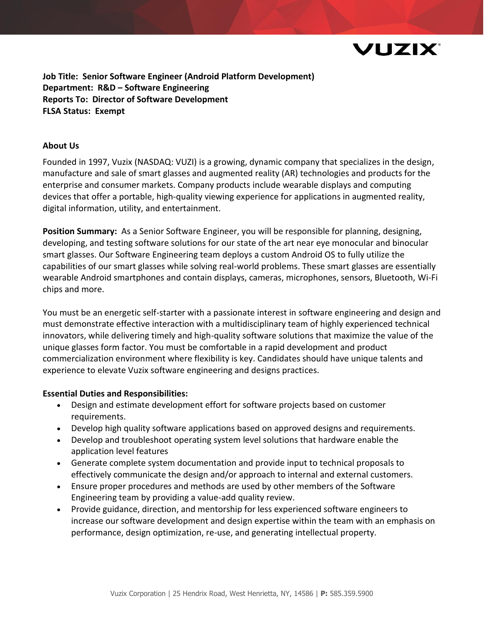

**Job Title: Senior Software Engineer (Android Platform Development) Department: R&D – Software Engineering Reports To: Director of Software Development FLSA Status: Exempt**

### **About Us**

Founded in 1997, Vuzix (NASDAQ: VUZI) is a growing, dynamic company that specializes in the design, manufacture and sale of smart glasses and augmented reality (AR) technologies and products for the enterprise and consumer markets. Company products include wearable displays and computing devices that offer a portable, high-quality viewing experience for applications in augmented reality, digital information, utility, and entertainment.

**Position Summary:** As a Senior Software Engineer, you will be responsible for planning, designing, developing, and testing software solutions for our state of the art near eye monocular and binocular smart glasses. Our Software Engineering team deploys a custom Android OS to fully utilize the capabilities of our smart glasses while solving real-world problems. These smart glasses are essentially wearable Android smartphones and contain displays, cameras, microphones, sensors, Bluetooth, Wi-Fi chips and more.

You must be an energetic self-starter with a passionate interest in software engineering and design and must demonstrate effective interaction with a multidisciplinary team of highly experienced technical innovators, while delivering timely and high-quality software solutions that maximize the value of the unique glasses form factor. You must be comfortable in a rapid development and product commercialization environment where flexibility is key. Candidates should have unique talents and experience to elevate Vuzix software engineering and designs practices.

#### **Essential Duties and Responsibilities:**

- Design and estimate development effort for software projects based on customer requirements.
- Develop high quality software applications based on approved designs and requirements.
- Develop and troubleshoot operating system level solutions that hardware enable the application level features
- Generate complete system documentation and provide input to technical proposals to effectively communicate the design and/or approach to internal and external customers.
- Ensure proper procedures and methods are used by other members of the Software Engineering team by providing a value-add quality review.
- Provide guidance, direction, and mentorship for less experienced software engineers to increase our software development and design expertise within the team with an emphasis on performance, design optimization, re-use, and generating intellectual property.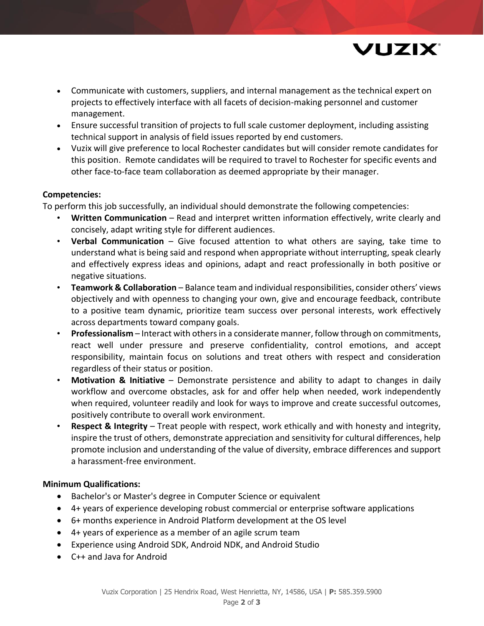

- Communicate with customers, suppliers, and internal management as the technical expert on projects to effectively interface with all facets of decision-making personnel and customer management.
- Ensure successful transition of projects to full scale customer deployment, including assisting technical support in analysis of field issues reported by end customers.
- Vuzix will give preference to local Rochester candidates but will consider remote candidates for this position. Remote candidates will be required to travel to Rochester for specific events and other face-to-face team collaboration as deemed appropriate by their manager.

## **Competencies:**

To perform this job successfully, an individual should demonstrate the following competencies:

- **Written Communication** Read and interpret written information effectively, write clearly and concisely, adapt writing style for different audiences.
- **Verbal Communication** Give focused attention to what others are saying, take time to understand what is being said and respond when appropriate without interrupting, speak clearly and effectively express ideas and opinions, adapt and react professionally in both positive or negative situations.
- **Teamwork & Collaboration** Balance team and individual responsibilities, consider others' views objectively and with openness to changing your own, give and encourage feedback, contribute to a positive team dynamic, prioritize team success over personal interests, work effectively across departments toward company goals.
- **Professionalism** Interact with others in a considerate manner, follow through on commitments, react well under pressure and preserve confidentiality, control emotions, and accept responsibility, maintain focus on solutions and treat others with respect and consideration regardless of their status or position.
- **Motivation & Initiative** Demonstrate persistence and ability to adapt to changes in daily workflow and overcome obstacles, ask for and offer help when needed, work independently when required, volunteer readily and look for ways to improve and create successful outcomes, positively contribute to overall work environment.
- **Respect & Integrity** Treat people with respect, work ethically and with honesty and integrity, inspire the trust of others, demonstrate appreciation and sensitivity for cultural differences, help promote inclusion and understanding of the value of diversity, embrace differences and support a harassment-free environment.

# **Minimum Qualifications:**

- Bachelor's or Master's degree in Computer Science or equivalent
- 4+ years of experience developing robust commercial or enterprise software applications
- 6+ months experience in Android Platform development at the OS level
- 4+ years of experience as a member of an agile scrum team
- Experience using Android SDK, Android NDK, and Android Studio
- C++ and Java for Android